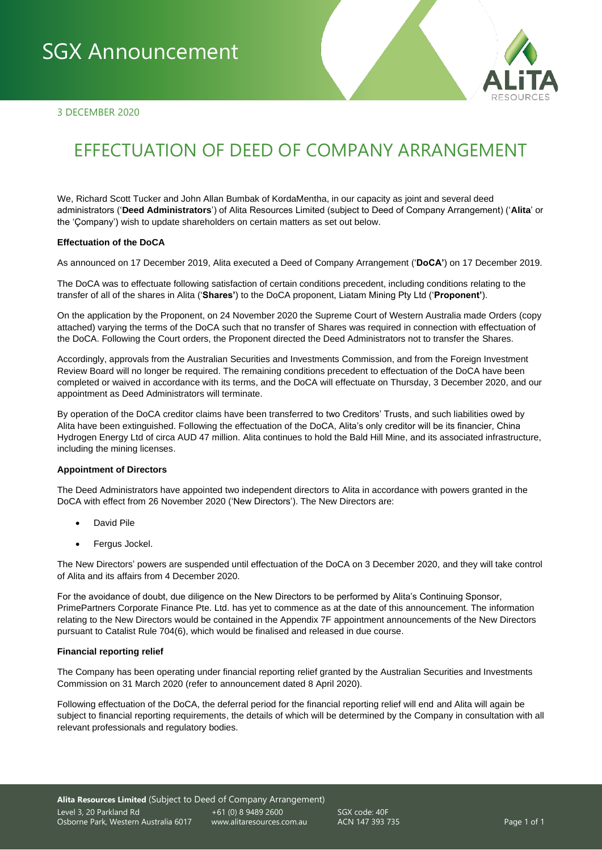

3 DECEMBER 2020

# EFFECTUATION OF DEED OF COMPANY ARRANGEMENT

We, Richard Scott Tucker and John Allan Bumbak of KordaMentha, in our capacity as joint and several deed administrators ('**Deed Administrators**') of Alita Resources Limited (subject to Deed of Company Arrangement) ('**Alita**' or the 'Çompany') wish to update shareholders on certain matters as set out below.

#### **Effectuation of the DoCA**

As announced on 17 December 2019, Alita executed a Deed of Company Arrangement ('**DoCA'**) on 17 December 2019.

The DoCA was to effectuate following satisfaction of certain conditions precedent, including conditions relating to the transfer of all of the shares in Alita ('**Shares'**) to the DoCA proponent, Liatam Mining Pty Ltd ('**Proponent'**).

On the application by the Proponent, on 24 November 2020 the Supreme Court of Western Australia made Orders (copy attached) varying the terms of the DoCA such that no transfer of Shares was required in connection with effectuation of the DoCA. Following the Court orders, the Proponent directed the Deed Administrators not to transfer the Shares.

Accordingly, approvals from the Australian Securities and Investments Commission, and from the Foreign Investment Review Board will no longer be required. The remaining conditions precedent to effectuation of the DoCA have been completed or waived in accordance with its terms, and the DoCA will effectuate on Thursday, 3 December 2020, and our appointment as Deed Administrators will terminate.

By operation of the DoCA creditor claims have been transferred to two Creditors' Trusts, and such liabilities owed by Alita have been extinguished. Following the effectuation of the DoCA, Alita's only creditor will be its financier, China Hydrogen Energy Ltd of circa AUD 47 million. Alita continues to hold the Bald Hill Mine, and its associated infrastructure, including the mining licenses.

#### **Appointment of Directors**

The Deed Administrators have appointed two independent directors to Alita in accordance with powers granted in the DoCA with effect from 26 November 2020 ('New Directors'). The New Directors are:

- David Pile
- Fergus Jockel.

The New Directors' powers are suspended until effectuation of the DoCA on 3 December 2020, and they will take control of Alita and its affairs from 4 December 2020.

For the avoidance of doubt, due diligence on the New Directors to be performed by Alita's Continuing Sponsor, PrimePartners Corporate Finance Pte. Ltd. has yet to commence as at the date of this announcement. The information relating to the New Directors would be contained in the Appendix 7F appointment announcements of the New Directors pursuant to Catalist Rule 704(6), which would be finalised and released in due course.

#### **Financial reporting relief**

The Company has been operating under financial reporting relief granted by the Australian Securities and Investments Commission on 31 March 2020 (refer to announcement dated 8 April 2020).

Following effectuation of the DoCA, the deferral period for the financial reporting relief will end and Alita will again be subject to financial reporting requirements, the details of which will be determined by the Company in consultation with all relevant professionals and regulatory bodies.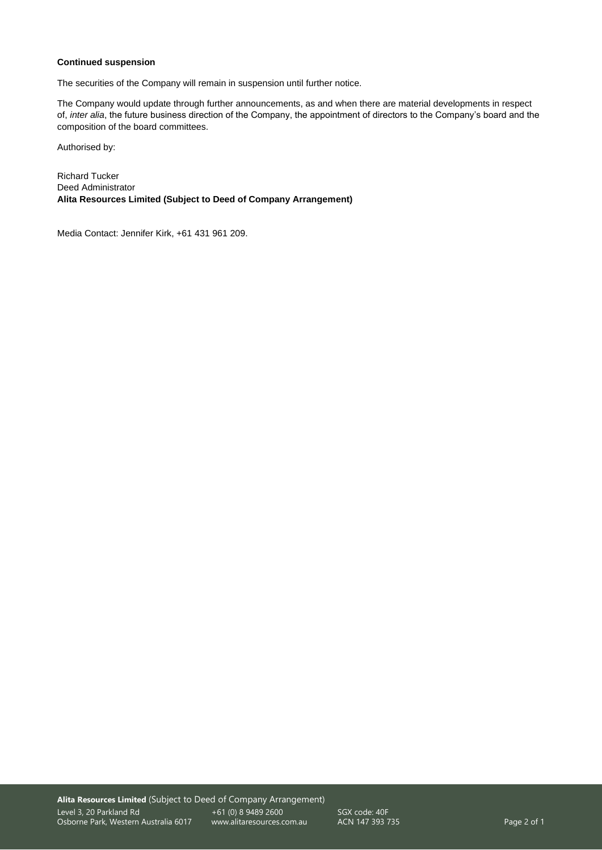#### **Continued suspension**

The securities of the Company will remain in suspension until further notice.

The Company would update through further announcements, as and when there are material developments in respect of, *inter alia*, the future business direction of the Company, the appointment of directors to the Company's board and the composition of the board committees.

Authorised by:

Richard Tucker Deed Administrator **Alita Resources Limited (Subject to Deed of Company Arrangement)**

Media Contact: Jennifer Kirk, +61 431 961 209.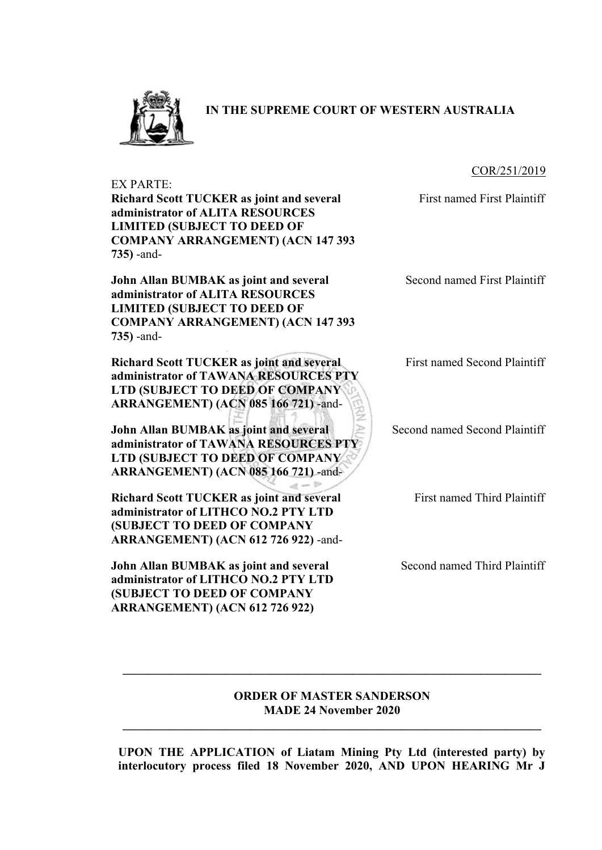

**IN THE SUPREME COURT OF WESTERN AUSTRALIA**

### COR/251/2019

EX PARTE:

**Richard Scott TUCKER as joint and several administrator of ALITA RESOURCES LIMITED (SUBJECT TO DEED OF COMPANY ARRANGEMENT) (ACN 147 393 735)** -and-

**John Allan BUMBAK as joint and several administrator of ALITA RESOURCES LIMITED (SUBJECT TO DEED OF COMPANY ARRANGEMENT) (ACN 147 393 735)** -and-

**Richard Scott TUCKER as joint and several administrator of TAWANA RESOURCES PTY LTD (SUBJECT TO DEED OF COMPANY ARRANGEMENT) (ACN 085 166 721)** -and-

**John Allan BUMBAK as joint and several administrator of TAWANA RESOURCES PTY LTD (SUBJECT TO DEED OF COMPANY ARRANGEMENT) (ACN 085 166 721)** -and-

**Richard Scott TUCKER as joint and several administrator of LITHCO NO.2 PTY LTD (SUBJECT TO DEED OF COMPANY ARRANGEMENT) (ACN 612 726 922)** -and-

**John Allan BUMBAK as joint and several administrator of LITHCO NO.2 PTY LTD (SUBJECT TO DEED OF COMPANY ARRANGEMENT) (ACN 612 726 922)**

First named First Plaintiff

Second named First Plaintiff

First named Second Plaintiff

Second named Second Plaintiff

First named Third Plaintiff

Second named Third Plaintiff

**ORDER OF MASTER SANDERSON MADE 24 November 2020 \_\_\_\_\_\_\_\_\_\_\_\_\_\_\_\_\_\_\_\_\_\_\_\_\_\_\_\_\_\_\_\_\_\_\_\_\_\_\_\_\_\_\_\_\_\_\_\_\_\_\_\_\_\_\_\_\_\_\_\_\_\_\_\_\_\_\_\_\_** 

 $\mathcal{L} = \{ \mathcal{L} \mathcal{L} \mathcal{L} \mathcal{L} \mathcal{L} \mathcal{L} \mathcal{L} \mathcal{L} \mathcal{L} \mathcal{L} \mathcal{L} \mathcal{L} \mathcal{L} \mathcal{L} \mathcal{L} \mathcal{L} \mathcal{L} \mathcal{L} \mathcal{L} \mathcal{L} \mathcal{L} \mathcal{L} \mathcal{L} \mathcal{L} \mathcal{L} \mathcal{L} \mathcal{L} \mathcal{L} \mathcal{L} \mathcal{L} \mathcal{L} \mathcal{L} \mathcal{L} \mathcal{L} \mathcal{L} \$ 

 $a - b$ 

**UPON THE APPLICATION of Liatam Mining Pty Ltd (interested party) by interlocutory process filed 18 November 2020, AND UPON HEARING Mr J**